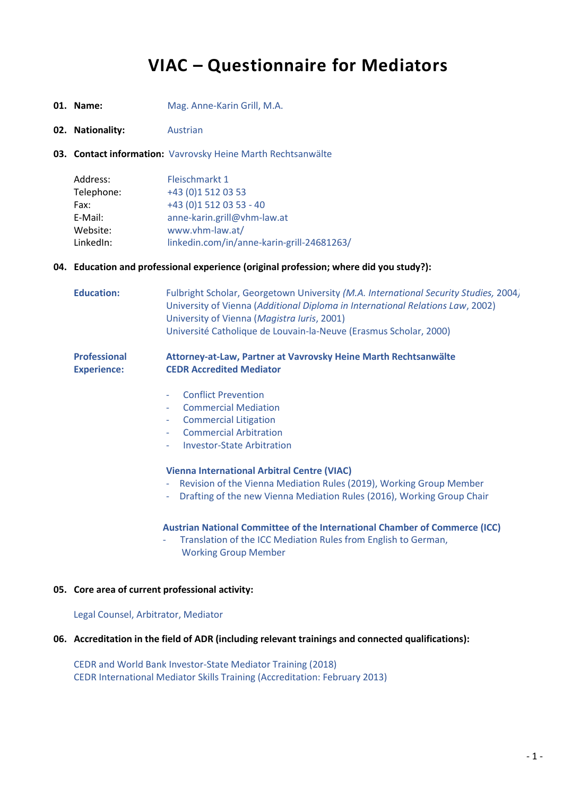# **VIAC – Questionnaire for Mediators**

- **01. Name:** Mag. Anne-Karin Grill, M.A.
- **02. Nationality:** Austrian
- **03. Contact information:** Vavrovsky Heine Marth Rechtsanwälte

| Fleischmarkt 1                             |
|--------------------------------------------|
| +43 (0)1 512 03 53                         |
| +43 (0)1 512 03 53 - 40                    |
| anne-karin.grill@vhm-law.at                |
| www.vhm-law.at/                            |
| linkedin.com/in/anne-karin-grill-24681263/ |
|                                            |

# **04. Education and professional experience (original profession; where did you study?):**

| <b>Education:</b>                         | Fulbright Scholar, Georgetown University (M.A. International Security Studies, 2004,<br>University of Vienna (Additional Diploma in International Relations Law, 2002)<br>University of Vienna (Magistra Iuris, 2001)<br>Université Catholique de Louvain-la-Neuve (Erasmus Scholar, 2000) |
|-------------------------------------------|--------------------------------------------------------------------------------------------------------------------------------------------------------------------------------------------------------------------------------------------------------------------------------------------|
| <b>Professional</b><br><b>Experience:</b> | Attorney-at-Law, Partner at Vavrovsky Heine Marth Rechtsanwälte<br><b>CEDR Accredited Mediator</b>                                                                                                                                                                                         |
|                                           | <b>Conflict Prevention</b><br>÷,<br><b>Commercial Mediation</b><br>۰<br><b>Commercial Litigation</b><br>۰<br><b>Commercial Arbitration</b><br>÷,<br><b>Investor-State Arbitration</b><br>٠                                                                                                 |

## **Vienna International Arbitral Centre (VIAC)**

- Revision of the Vienna Mediation Rules (2019), Working Group Member
- Drafting of the new Vienna Mediation Rules (2016), Working Group Chair

# **Austrian National Committee of the International Chamber of Commerce (ICC)**

- Translation of the ICC Mediation Rules from English to German, Working Group Member

#### **05. Core area of current professional activity:**

Legal Counsel, Arbitrator, Mediator

#### **06. Accreditation in the field of ADR (including relevant trainings and connected qualifications):**

CEDR and World Bank Investor-State Mediator Training (2018) CEDR International Mediator Skills Training (Accreditation: February 2013)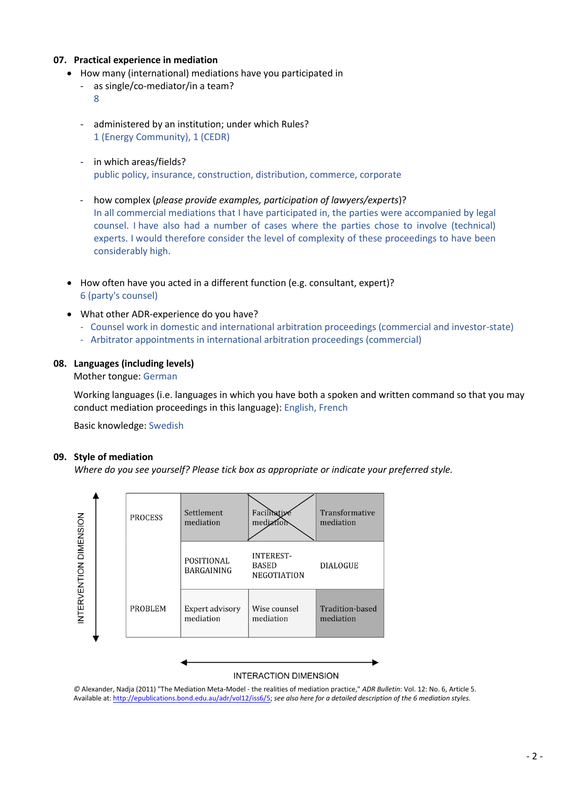# **07. Practical experience in mediation**

- How many (international) mediations have you participated in
	- as single/co-mediator/in a team?

8

- administered by an institution; under which Rules? 1 (Energy Community), 1 (CEDR)
- in which areas/fields? public policy, insurance, construction, distribution, commerce, corporate
- how complex (*please provide examples, participation of lawyers/experts*)? In all commercial mediations that I have participated in, the parties were accompanied by legal counsel. I have also had a number of cases where the parties chose to involve (technical) experts. I would therefore consider the level of complexity of these proceedings to have been considerably high.
- How often have you acted in a different function (e.g. consultant, expert)? 6 (party's counsel)
- What other ADR-experience do you have?
	- Counsel work in domestic and international arbitration proceedings (commercial and investor-state)
	- Arbitrator appointments in international arbitration proceedings (commercial)

# **08. Languages (including levels)**

Mother tongue: German

Working languages (i.e. languages in which you have both a spoken and written command so that you may conduct mediation proceedings in this language): English, French

Basic knowledge: Swedish

# **09. Style of mediation**

 *Where do you see yourself? Please tick box as appropriate or indicate your preferred style.*



*©* Alexander, Nadja (2011) "The Mediation Meta-Model - the realities of mediation practice," *ADR Bulletin*: Vol. 12: No. 6, Article 5. Available at: [http://epublications.bond.edu.au/adr/vol12/iss6/5;](http://epublications.bond.edu.au/adr/vol12/iss6/5) *see also here for a detailed description of the 6 mediation styles.*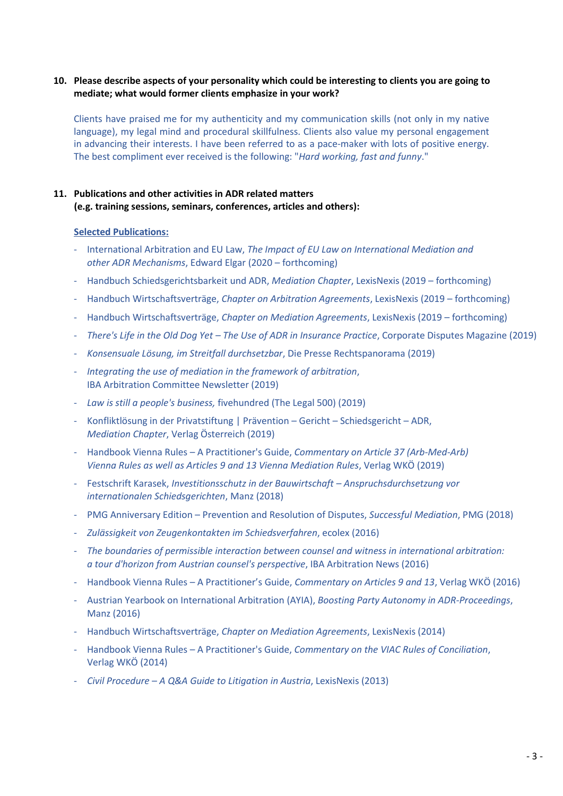# **10. Please describe aspects of your personality which could be interesting to clients you are going to mediate; what would former clients emphasize in your work?**

Clients have praised me for my authenticity and my communication skills (not only in my native language), my legal mind and procedural skillfulness. Clients also value my personal engagement in advancing their interests. I have been referred to as a pace-maker with lots of positive energy. The best compliment ever received is the following: "*Hard working, fast and funny*."

# **11. Publications and other activities in ADR related matters (e.g. training sessions, seminars, conferences, articles and others):**

### **Selected Publications:**

- International Arbitration and EU Law, *The Impact of EU Law on International Mediation and other ADR Mechanisms*, Edward Elgar (2020 – forthcoming)
- Handbuch Schiedsgerichtsbarkeit und ADR, *Mediation Chapter*, LexisNexis (2019 forthcoming)
- Handbuch Wirtschaftsverträge, *Chapter on Arbitration Agreements*, LexisNexis (2019 forthcoming)
- Handbuch Wirtschaftsverträge, *Chapter on Mediation Agreements*, LexisNexis (2019 forthcoming)
- *There's Life in the Old Dog Yet – The Use of ADR in Insurance Practice*, Corporate Disputes Magazine (2019)
- *Konsensuale Lösung, im Streitfall durchsetzbar*, Die Presse Rechtspanorama (2019)
- *Integrating the use of mediation in the framework of arbitration*, IBA Arbitration Committee Newsletter (2019)
- *Law is still a people's business,* fivehundred (The Legal 500) (2019)
- Konfliktlösung in der Privatstiftung | Prävention Gericht Schiedsgericht ADR, *Mediation Chapter*, Verlag Österreich (2019)
- Handbook Vienna Rules A Practitioner's Guide, *Commentary on Article 37 (Arb-Med-Arb) Vienna Rules as well as Articles 9 and 13 Vienna Mediation Rules*, Verlag WKÖ (2019)
- Festschrift Karasek, *Investitionsschutz in der Bauwirtschaft – Anspruchsdurchsetzung vor internationalen Schiedsgerichten*, Manz (2018)
- PMG Anniversary Edition Prevention and Resolution of Disputes, *Successful Mediation*, PMG (2018)
- *Zulässigkeit von Zeugenkontakten im Schiedsverfahren*, ecolex (2016)
- *The boundaries of permissible interaction between counsel and witness in international arbitration: a tour d'horizon from Austrian counsel's perspective*, IBA Arbitration News (2016)
- Handbook Vienna Rules A Practitioner's Guide, *Commentary on Articles 9 and 13*, Verlag WKÖ (2016)
- Austrian Yearbook on International Arbitration (AYIA), *Boosting Party Autonomy in ADR-Proceedings*, Manz (2016)
- Handbuch Wirtschaftsverträge, *Chapter on Mediation Agreements*, LexisNexis (2014)
- Handbook Vienna Rules A Practitioner's Guide, *Commentary on the VIAC Rules of Conciliation*, Verlag WKÖ (2014)
- *Civil Procedure – A Q&A Guide to Litigation in Austria*, LexisNexis (2013)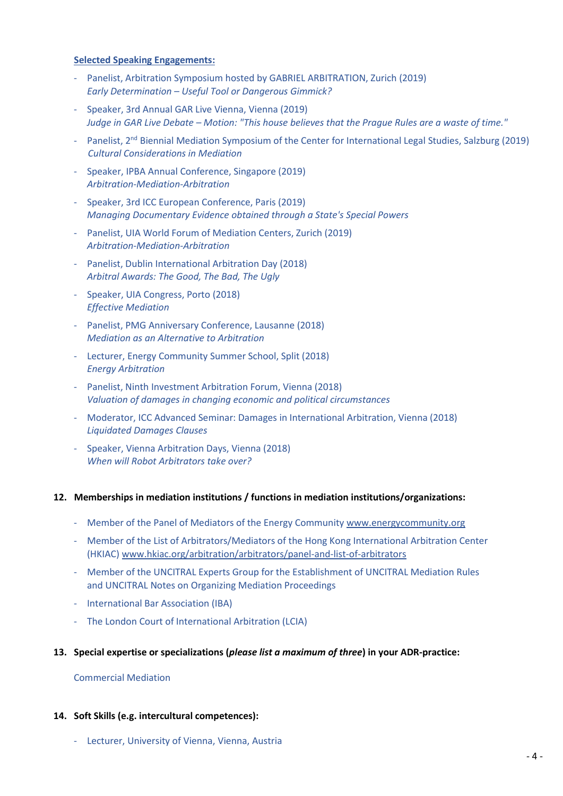# **Selected Speaking Engagements:**

- Panelist, Arbitration Symposium hosted by GABRIEL ARBITRATION, Zurich (2019) *Early Determination – Useful Tool or Dangerous Gimmick?*
- Speaker, 3rd Annual GAR Live Vienna, Vienna (2019) *Judge in GAR Live Debate – Motion: "This house believes that the Prague Rules are a waste of time."*
- Panelist, 2<sup>nd</sup> Biennial Mediation Symposium of the Center for International Legal Studies, Salzburg (2019)  *Cultural Considerations in Mediation*
- Speaker, IPBA Annual Conference, Singapore (2019) *Arbitration-Mediation-Arbitration*
- Speaker, 3rd ICC European Conference, Paris (2019) *Managing Documentary Evidence obtained through a State's Special Powers*
- Panelist, UIA World Forum of Mediation Centers, Zurich (2019) *Arbitration-Mediation-Arbitration*
- Panelist, Dublin International Arbitration Day (2018) *Arbitral Awards: The Good, The Bad, The Ugly*
- Speaker, UIA Congress, Porto (2018) *Effective Mediation*
- Panelist, PMG Anniversary Conference, Lausanne (2018) *Mediation as an Alternative to Arbitration*
- Lecturer, Energy Community Summer School, Split (2018) *Energy Arbitration*
- Panelist, Ninth Investment Arbitration Forum, Vienna (2018) *Valuation of damages in changing economic and political circumstances*
- Moderator, ICC Advanced Seminar: Damages in International Arbitration, Vienna (2018) *Liquidated Damages Clauses*
- Speaker, Vienna Arbitration Days, Vienna (2018) *When will Robot Arbitrators take over?*

# **12. Memberships in mediation institutions / functions in mediation institutions/organizations:**

- Member of the Panel of Mediators of the Energy Communit[y www.energycommunity.org](http://www.energycommunity.org/)
- Member of the List of Arbitrators/Mediators of the Hong Kong International Arbitration Center (HKIAC) www.hkiac.org/arbitration/arbitrators/panel-and-list-of-arbitrators
- Member of the UNCITRAL Experts Group for the Establishment of UNCITRAL Mediation Rules and UNCITRAL Notes on Organizing Mediation Proceedings
- International Bar Association (IBA)
- The London Court of International Arbitration (LCIA)

# **13. Special expertise or specializations (***please list a maximum of three***) in your ADR-practice:**

#### Commercial Mediation

#### **14. Soft Skills (e.g. intercultural competences):**

- Lecturer, University of Vienna, Vienna, Austria